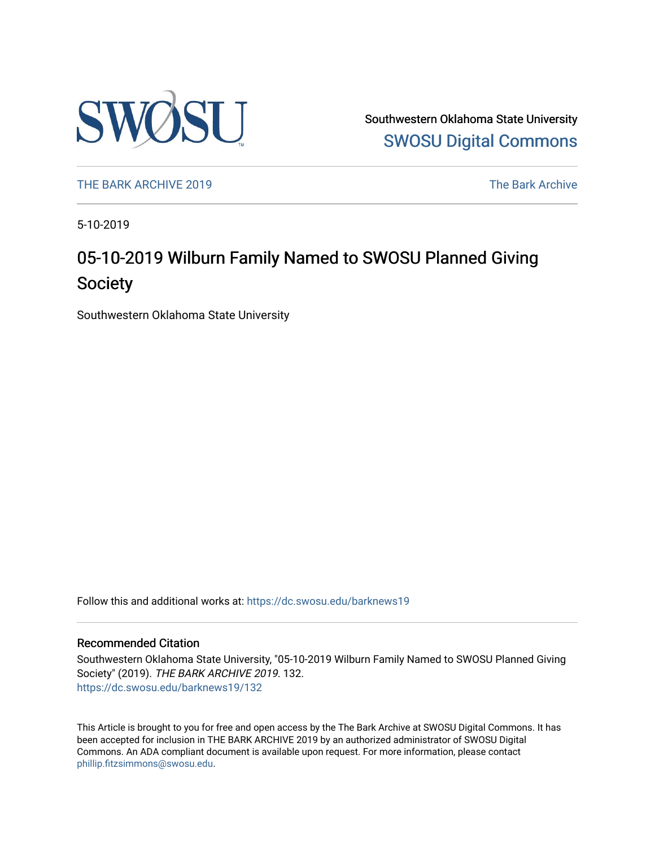

Southwestern Oklahoma State University [SWOSU Digital Commons](https://dc.swosu.edu/) 

[THE BARK ARCHIVE 2019](https://dc.swosu.edu/barknews19) The Bark Archive

5-10-2019

# 05-10-2019 Wilburn Family Named to SWOSU Planned Giving Society

Southwestern Oklahoma State University

Follow this and additional works at: [https://dc.swosu.edu/barknews19](https://dc.swosu.edu/barknews19?utm_source=dc.swosu.edu%2Fbarknews19%2F132&utm_medium=PDF&utm_campaign=PDFCoverPages)

#### Recommended Citation

Southwestern Oklahoma State University, "05-10-2019 Wilburn Family Named to SWOSU Planned Giving Society" (2019). THE BARK ARCHIVE 2019. 132. [https://dc.swosu.edu/barknews19/132](https://dc.swosu.edu/barknews19/132?utm_source=dc.swosu.edu%2Fbarknews19%2F132&utm_medium=PDF&utm_campaign=PDFCoverPages)

This Article is brought to you for free and open access by the The Bark Archive at SWOSU Digital Commons. It has been accepted for inclusion in THE BARK ARCHIVE 2019 by an authorized administrator of SWOSU Digital Commons. An ADA compliant document is available upon request. For more information, please contact [phillip.fitzsimmons@swosu.edu](mailto:phillip.fitzsimmons@swosu.edu).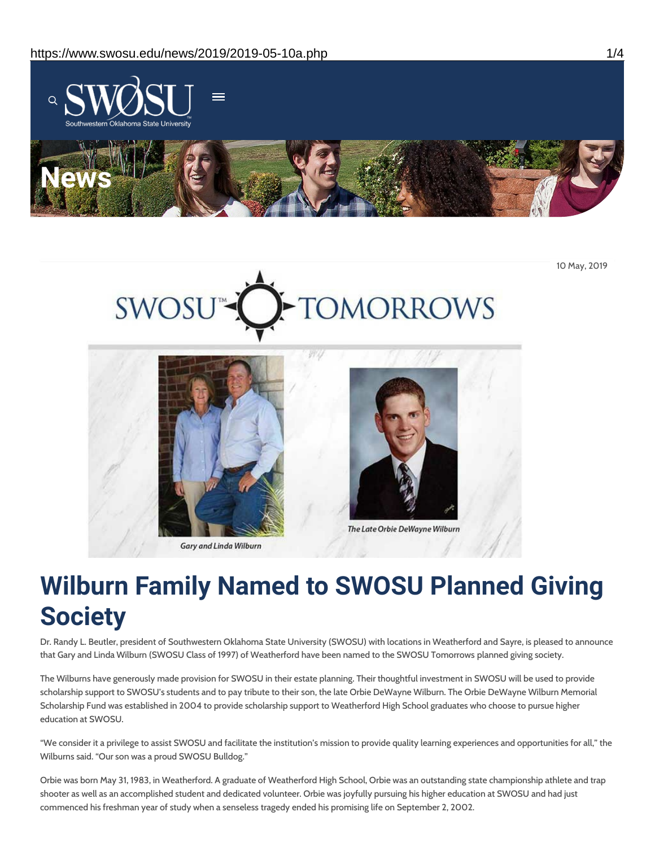

10 May, 2019





Gary and Linda Wilburn



The Late Orbie DeWayne Wilburn

# **Wilburn Family Named to SWOSU Planned Giving Society**

Dr. Randy L. Beutler, president of Southwestern Oklahoma State University (SWOSU) with locations in Weatherford and Sayre, is pleased to announce that Gary and Linda Wilburn (SWOSU Class of 1997) of Weatherford have been named to the SWOSU Tomorrows planned giving society.

The Wilburns have generously made provision for SWOSU in their estate planning. Their thoughtful investment in SWOSU will be used to provide scholarship support to SWOSU's students and to pay tribute to their son, the late Orbie DeWayne Wilburn. The Orbie DeWayne Wilburn Memorial Scholarship Fund was established in 2004 to provide scholarship support to Weatherford High School graduates who choose to pursue higher education at SWOSU.

"We consider it a privilege to assist SWOSU and facilitate the institution's mission to provide quality learning experiences and opportunities for all," the Wilburns said. "Our son was a proud SWOSU Bulldog."

Orbie was born May 31, 1983, in Weatherford. A graduate of Weatherford High School, Orbie was an outstanding state championship athlete and trap shooter as well as an accomplished student and dedicated volunteer. Orbie was joyfully pursuing his higher education at SWOSU and had just commenced his freshman year of study when a senseless tragedy ended his promising life on September 2, 2002.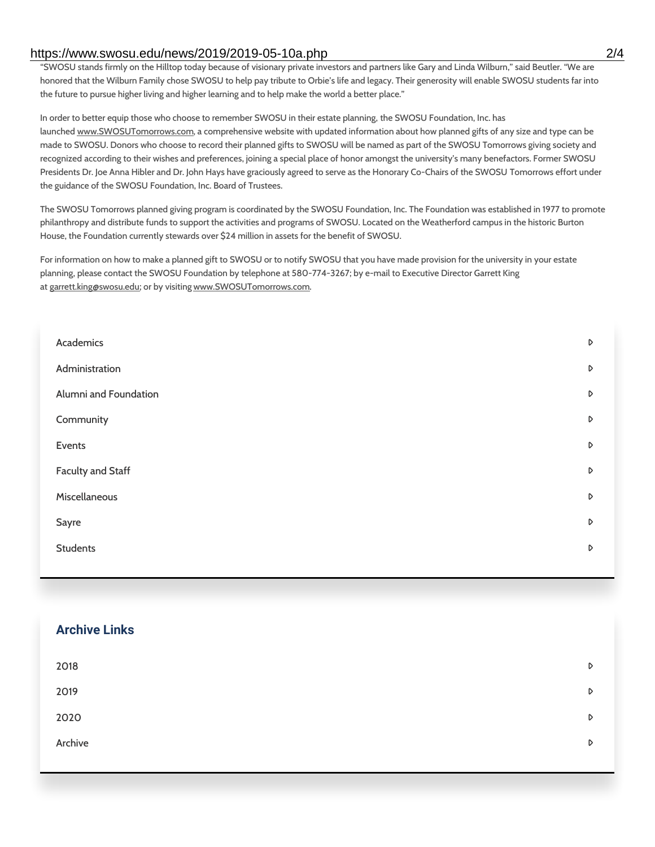#### https://www.swosu.edu/news/2019/2019-05-10a.php 2/4

"SWOSU stands firmly on the Hilltop today because of visionary private investors and partners like Gary and Linda Wilburn," said Beutler. "We are honored that the Wilburn Family chose SWOSU to help pay tribute to Orbie's life and legacy. Their generosity will enable SWOSU students far into the future to pursue higher living and higher learning and to help make the world a better place."

In order to better equip those who choose to remember SWOSU in their estate planning, the SWOSU Foundation, Inc. has launched www.SWOSUTomorrows.com, a comprehensive website with updated information about how planned gifts of any size and type can be made to SWOSU. Donors who choose to record their planned gifts to SWOSU will be named as part of the SWOSU Tomorrows giving society and recognized according to their wishes and preferences, joining a special place of honor amongst the university's many benefactors. Former SWOSU Presidents Dr. Joe Anna Hibler and Dr. John Hays have graciously agreed to serve as the Honorary Co-Chairs of the SWOSU Tomorrows effort under the guidance of the SWOSU Foundation, Inc. Board of Trustees.

The SWOSU Tomorrows planned giving program is coordinated by the SWOSU Foundation, Inc. The Foundation was established in 1977 to promote philanthropy and distribute funds to support the activities and programs of SWOSU. Located on the Weatherford campus in the historic Burton House, the Foundation currently stewards over \$24 million in assets for the benefit of SWOSU.

For information on how to make a planned gift to SWOSU or to notify SWOSU that you have made provision for the university in your estate planning, please contact the SWOSU Foundation by telephone at 580-774-3267; by e-mail to Executive Director Garrett King at garrett.king@swosu.edu; or by visiting www.SWOSUTomorrows.com.

| Academics                | D                |
|--------------------------|------------------|
| Administration           | D                |
| Alumni and Foundation    | $\triangleright$ |
| Community                | D                |
| Events                   | D                |
| <b>Faculty and Staff</b> | D                |
| Miscellaneous            | D                |
| Sayre                    | D                |
| <b>Students</b>          | D                |
|                          |                  |

#### **Archive Links**

| 2018    | $\triangleright$ |
|---------|------------------|
| 2019    | D                |
| 2020    | D                |
| Archive | D                |
|         |                  |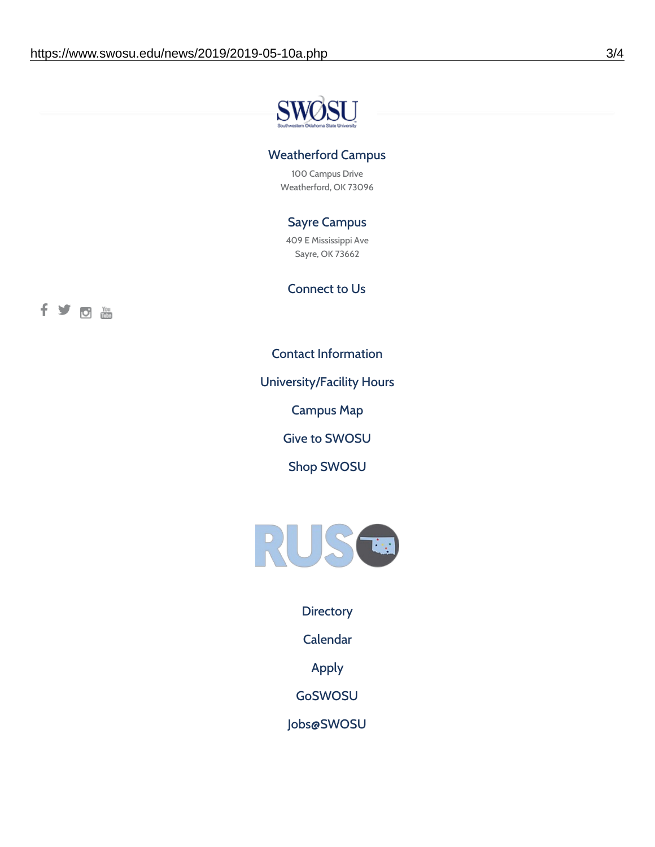

### Weatherford Campus

100 Campus Drive Weatherford, OK 73096

## Sayre Campus

409 E Mississippi Ave Sayre, OK 73662

fyoth

Connect to Us

Contact [Information](https://www.swosu.edu/about/contact.php)

[University/Facility](https://www.swosu.edu/about/operating-hours.php) Hours

[Campus](https://map.concept3d.com/?id=768#!ct/10964,10214,10213,10212,10205,10204,10203,10202,10136,10129,10128,0,31226,10130,10201,10641,0) Map

Give to [SWOSU](https://standingfirmly.com/donate)

Shop [SWOSU](https://shopswosu.merchorders.com/)



**[Directory](https://www.swosu.edu/directory/index.php)** 

[Calendar](https://eventpublisher.dudesolutions.com/swosu/)

[Apply](https://www.swosu.edu/admissions/apply-to-swosu.php)

[GoSWOSU](https://qlsso.quicklaunchsso.com/home/1267)

[Jobs@SWOSU](https://swosu.csod.com/ux/ats/careersite/1/home?c=swosu)